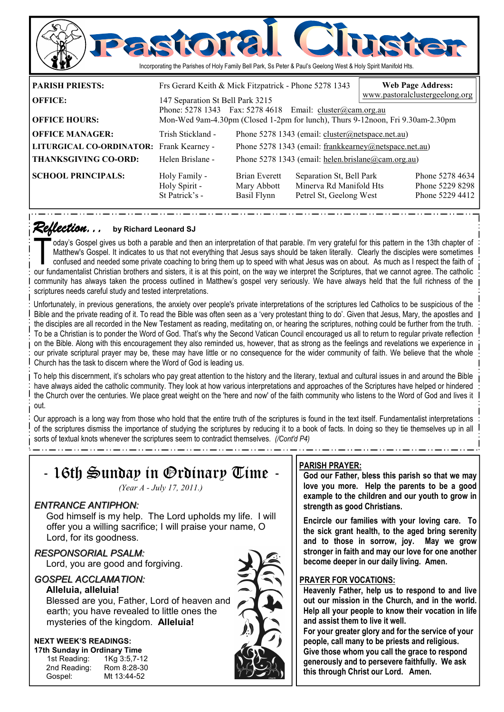

### *Reflection... Reflection...* **by Richard Leonard SJ**

oday's Gospel gives us both a parable and then an interpretation of that parable. I'm very grateful for this pattern in the 13th chapter of Matthew's Gospel. It indicates to us that not everything that Jesus says should be Matthew's Gospel. It indicates to us that not everything that Jesus says should be taken literally. Clearly the disciples were sometimes our fundamentalist Christian brothers and sisters, it is at this point, on the way we interpret the Scriptures, that we cannot agree. The catholic community has always taken the process outlined in Matthew's gospel very seriously. We have always held that the full richness of the scriptures needs careful study and tested interpretations.

St Patrick's - Basil Flynn Petrel St, Geelong West Phone 5229 4412

Unfortunately, in previous generations, the anxiety over people's private interpretations of the scriptures led Catholics to be suspicious of the Bible and the private reading of it. To read the Bible was often seen as a 'very protestant thing to do'. Given that Jesus, Mary, the apostles and the disciples are all recorded in the New Testament as reading, meditating on, or hearing the scriptures, nothing could be further from the truth. To be a Christian is to ponder the Word of God. That's why the Second Vatican Council encouraged us all to return to regular private reflection on the Bible. Along with this encouragement they also reminded us, however, that as strong as the feelings and revelations we experience in our private scriptural prayer may be, these may have little or no consequence for the wider community of faith. We believe that the whole Church has the task to discern where the Word of God is leading us.

To help this discernment, it's scholars who pay great attention to the history and the literary, textual and cultural issues in and around the Bible have always aided the catholic community. They look at how various interpretations and approaches of the Scriptures have helped or hindered the Church over the centuries. We place great weight on the 'here and now' of the faith community who listens to the Word of God and lives it out.

Our approach is a long way from those who hold that the entire truth of the scriptures is found in the text itself. Fundamentalist interpretations of the scriptures dismiss the importance of studying the scriptures by reducing it to a book of facts. In doing so they tie themselves up in all sorts of textual knots whenever the scriptures seem to contradict themselves. *(/Cont'd P4)* 

| - 16th Sunday in Ordinary Time -<br>(Year A - July 17, 2011.)                                                                                                                          | <b>PARISH PRAYER:</b><br>God our Father, bless this parish so that we may<br>love you more. Help the parents to be a good<br>example to the children and our youth to grow in                                                                                                        |
|----------------------------------------------------------------------------------------------------------------------------------------------------------------------------------------|--------------------------------------------------------------------------------------------------------------------------------------------------------------------------------------------------------------------------------------------------------------------------------------|
| <b>ENTRANCE ANTIPHON:</b><br>God himself is my help. The Lord upholds my life. I will<br>offer you a willing sacrifice; I will praise your name, O<br>Lord, for its goodness.          | strength as good Christians.<br>Encircle our families with your loving care. To<br>the sick grant health, to the aged bring serenity<br>and to those in sorrow, joy. May we grow                                                                                                     |
| <b>RESPONSORIAL PSALM:</b><br>Lord, you are good and forgiving.                                                                                                                        | stronger in faith and may our love for one another<br>become deeper in our daily living. Amen.                                                                                                                                                                                       |
| <b>GOSPEL ACCLAMATION:</b><br>Alleluia, alleluia!<br>Blessed are you, Father, Lord of heaven and<br>earth; you have revealed to little ones the<br>mysteries of the kingdom. Alleluia! | <b>PRAYER FOR VOCATIONS:</b><br>Heavenly Father, help us to respond to and live<br>out our mission in the Church, and in the world.<br>Help all your people to know their vocation in life<br>and assist them to live it well.<br>For your greater glory and for the service of your |
| <b>NEXT WEEK'S READINGS:</b><br>17th Sunday in Ordinary Time<br>1st Reading:<br>1Kg 3:5,7-12<br>Rom 8:28-30<br>2nd Reading:<br>Mt 13:44-52<br>Gospel:                                  | people, call many to be priests and religious.<br>Give those whom you call the grace to respond<br>generously and to persevere faithfully. We ask<br>this through Christ our Lord. Amen.                                                                                             |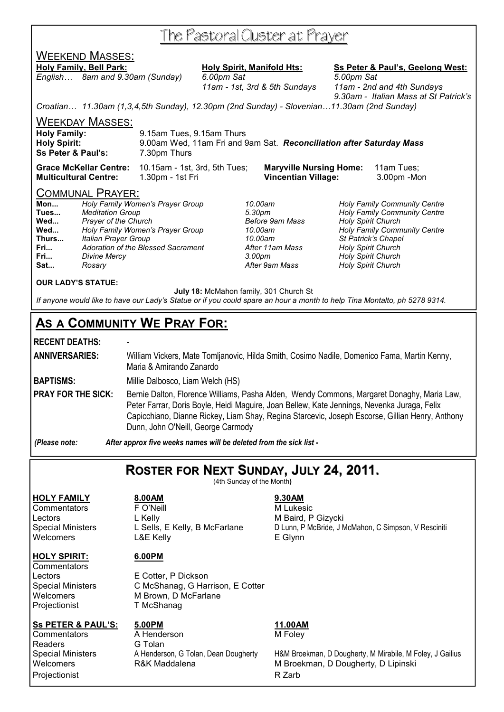# The Pastoral Cluster at Prayer

# WEEKEND MASSES:

**Holy Family, Bell Park: Holy Spirit, Manifold Hts: Ss Peter & Paul's, Geelong West:** *English… 8am and 9.30am (Sunday) 6.00pm Sat 5.00pm Sat* 

 *11am - 1st, 3rd & 5th Sundays 11am - 2nd and 4th Sundays 9.30am - Italian Mass at St Patrick's* 

*Croatian… 11.30am (1,3,4,5th Sunday), 12.30pm (2nd Sunday) - Slovenian…11.30am (2nd Sunday)* 

WEEKDAY MASSES:

| <b>Holy Family:</b>           | 9.15am Tues, 9.15am Thurs                                            |
|-------------------------------|----------------------------------------------------------------------|
| <b>Holy Spirit:</b>           | 9.00am Wed, 11am Fri and 9am Sat. Reconciliation after Saturday Mass |
| <b>Ss Peter &amp; Paul's:</b> | 7.30pm Thurs                                                         |
|                               |                                                                      |

**Grace McKellar Centre:** 10.15am - 1st, 3rd, 5th Tues; **Maryville Nursing Home:** 11am Tues; **Multicultural Centre:** 1.30pm - 1st Fri **Vincentian Village:** 3.00pm -Mon

## COMMUNAL PRAYER:

| Mon   | Holy Family Women's Prayer Group   |
|-------|------------------------------------|
| Tues  | <b>Meditation Group</b>            |
| Wed   | <b>Prayer of the Church</b>        |
| Wed   | Holy Family Women's Prayer Group   |
| Thurs | <b>Italian Prayer Group</b>        |
| Fri   | Adoration of the Blessed Sacrament |
| Fri   | <b>Divine Mercy</b>                |
| Sat   | Rosary                             |

**Mon...** *Holy Family Women's Prayer Group 10.00am Holy Family Community Centre*  **Tues...** *Meditation Group 5.30pm Holy Family Community Centre*  **Wed...** *Prayer of the Church Before 9am Mass Holy Spirit Church*  **Wed...** *Holy Family Women's Prayer Group 10.00am Holy Family Community Centre*  **Thurs...** *Italian Prayer Group 10.00am St Patrick's Chapel*  **Holy Spirit Church Fri...** *Divine Mercy 3.00pm Holy Spirit Church*  **Sat...** *Rosary After 9am Mass Holy Spirit Church* 

### **OUR LADY'S STATUE:**

 **July 18:** McMahon family, 301 Church St

*If anyone would like to have our Lady's Statue or if you could spare an hour a month to help Tina Montalto, ph 5278 9314.* 

## **AS A COMMUNITY WE PRAY FOR:**

## **RECENT DEATHS:** -

**ANNIVERSARIES:** William Vickers, Mate Tomljanovic, Hilda Smith, Cosimo Nadile, Domenico Fama, Martin Kenny, Maria & Amirando Zanardo

**BAPTISMS:** Millie Dalbosco, Liam Welch (HS)

**PRAY FOR THE SICK:** Bernie Dalton, Florence Williams, Pasha Alden, Wendy Commons, Margaret Donaghy, Maria Law, Peter Farrar, Doris Boyle, Heidi Maguire, Joan Bellew, Kate Jennings, Nevenka Juraga, Felix Capicchiano, Dianne Rickey, Liam Shay, Regina Starcevic, Joseph Escorse, Gillian Henry, Anthony Dunn, John O'Neill, George Carmody

*(Please note: After approx five weeks names will be deleted from the sick list -* 

## **ROSTER FOR NEXT SUNDAY, JULY 24, 2011.**

(4th Sunday of the Month**)** 

**HOLY FAMILY 8.00AM 9.30AM** Commentators **F** O'Neill **M** Lukesic Lectors L Kelly **Contained A L Kelly** M Baird, P Gizycki Welcomers L&E Kelly **E Glynn** 

### **HOLY SPIRIT: 6.00PM**

**Commentators** Projectionist T McShanag

Lectors E Cotter, P Dickson Special Ministers C McShanag, G Harrison, E Cotter Welcomers M Brown, D McFarlane

Readers **G** Tolan Projectionist **R** Zarb

# **Ss PETER & PAUL'S:** 5.00PM<br>
Commentators A Henderson M Folev

**Commentators** A Henderson M Foley

Special Ministers L Sells, E Kelly, B McFarlane D Lunn, P McBride, J McMahon, C Simpson, V Resciniti

Special Ministers **A Henderson, G Tolan, Dean Dougherty** H&M Broekman, D Dougherty, M Mirabile, M Foley, J Gailius Welcomers **R&K Maddalena** M Broekman, D Dougherty, D Lipinski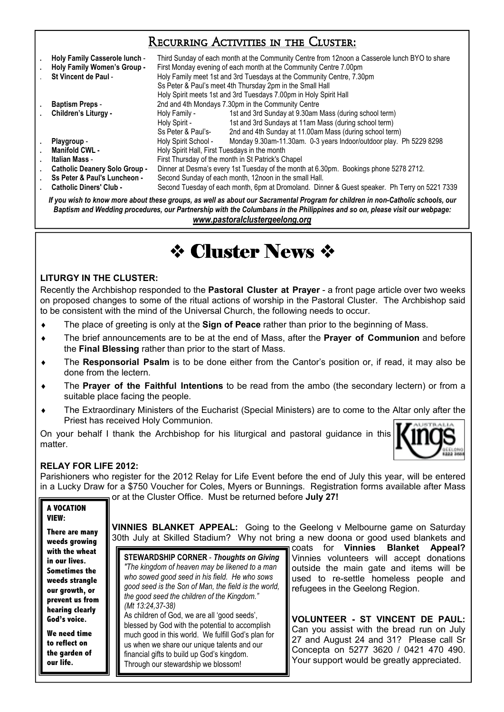## Recurring Activities in the Cluster:

| Holy Family Casserole lunch -<br>Holy Family Women's Group -<br>St Vincent de Paul - | Third Sunday of each month at the Community Centre from 12noon a Casserole lunch BYO to share<br>First Monday evening of each month at the Community Centre 7.00pm<br>Holy Family meet 1st and 3rd Tuesdays at the Community Centre, 7.30pm<br>Ss Peter & Paul's meet 4th Thursday 2pm in the Small Hall<br>Holy Spirit meets 1st and 3rd Tuesdays 7.00pm in Holy Spirit Hall |                                                                    |  |
|--------------------------------------------------------------------------------------|-------------------------------------------------------------------------------------------------------------------------------------------------------------------------------------------------------------------------------------------------------------------------------------------------------------------------------------------------------------------------------|--------------------------------------------------------------------|--|
| <b>Baptism Preps -</b>                                                               | 2nd and 4th Mondays 7.30pm in the Community Centre                                                                                                                                                                                                                                                                                                                            |                                                                    |  |
| Children's Liturgy -                                                                 | Holy Family -                                                                                                                                                                                                                                                                                                                                                                 | 1st and 3rd Sunday at 9.30am Mass (during school term)             |  |
|                                                                                      | Holy Spirit -                                                                                                                                                                                                                                                                                                                                                                 | 1st and 3rd Sundays at 11am Mass (during school term)              |  |
|                                                                                      | Ss Peter & Paul's-                                                                                                                                                                                                                                                                                                                                                            | 2nd and 4th Sunday at 11.00am Mass (during school term)            |  |
| Playgroup -                                                                          | Holy Spirit School -                                                                                                                                                                                                                                                                                                                                                          | Monday 9.30am-11.30am. 0-3 years Indoor/outdoor play. Ph 5229 8298 |  |
| <b>Manifold CWL -</b>                                                                | Holy Spirit Hall, First Tuesdays in the month                                                                                                                                                                                                                                                                                                                                 |                                                                    |  |
| Italian Mass -                                                                       | First Thursday of the month in St Patrick's Chapel                                                                                                                                                                                                                                                                                                                            |                                                                    |  |
| <b>Catholic Deanery Solo Group -</b>                                                 | Dinner at Desma's every 1st Tuesday of the month at 6.30pm. Bookings phone 5278 2712.                                                                                                                                                                                                                                                                                         |                                                                    |  |
| Ss Peter & Paul's Luncheon -                                                         | Second Sunday of each month, 12noon in the small Hall.                                                                                                                                                                                                                                                                                                                        |                                                                    |  |
| <b>Catholic Diners' Club -</b>                                                       | Second Tuesday of each month, 6pm at Dromoland. Dinner & Guest speaker. Ph Terry on 5221 7339                                                                                                                                                                                                                                                                                 |                                                                    |  |

*If you wish to know more about these groups, as well as about our Sacramental Program for children in non-Catholic schools, our Baptism and Wedding procedures, our Partnership with the Columbans in the Philippines and so on, please visit our webpage: www.pastoralclustergeelong.org*

# $\Leftrightarrow$  Cluster News  $\Leftrightarrow$

## **LITURGY IN THE CLUSTER:**

Recently the Archbishop responded to the **Pastoral Cluster at Prayer** - a front page article over two weeks on proposed changes to some of the ritual actions of worship in the Pastoral Cluster. The Archbishop said to be consistent with the mind of the Universal Church, the following needs to occur.

- The place of greeting is only at the **Sign of Peace** rather than prior to the beginning of Mass.
- ♦ The brief announcements are to be at the end of Mass, after the **Prayer of Communion** and before the **Final Blessing** rather than prior to the start of Mass.
- The Responsorial Psalm is to be done either from the Cantor's position or, if read, it may also be done from the lectern.
- The **Prayer of the Faithful Intentions** to be read from the ambo (the secondary lectern) or from a suitable place facing the people.
- The Extraordinary Ministers of the Eucharist (Special Ministers) are to come to the Altar only after the Priest has received Holy Communion.

On your behalf I thank the Archbishop for his liturgical and pastoral guidance in this matter.



## **RELAY FOR LIFE 2012:**

Parishioners who register for the 2012 Relay for Life Event before the end of July this year, will be entered in a Lucky Draw for a \$750 Voucher for Coles, Myers or Bunnings. Registration forms available after Mass or at the Cluster Office. Must be returned before **July 27!** 

|                                                        | 01 at the Gradtor Grildo. Inidot bo rotarrioa bororo <b>cary E</b> r I                                                                                                |                                             |  |  |
|--------------------------------------------------------|-----------------------------------------------------------------------------------------------------------------------------------------------------------------------|---------------------------------------------|--|--|
| A VOCATION<br>VIEW:<br>There are many<br>weeds growing | <b>VINNIES BLANKET APPEAL:</b> Going to the Geelong v Melbourne game on Saturday<br>30th July at Skilled Stadium? Why not bring a new doona or good used blankets and |                                             |  |  |
| with the wheat                                         |                                                                                                                                                                       | coats for <b>Vinnies Blanket</b><br>Appeal? |  |  |
| in our lives.                                          | <b>STEWARDSHIP CORNER - Thoughts on Giving</b>                                                                                                                        | Vinnies volunteers will accept donations    |  |  |
| <b>Sometimes the</b>                                   | "The kingdom of heaven may be likened to a man                                                                                                                        | outside the main gate and items will be     |  |  |
| weeds strangle                                         | who sowed good seed in his field. He who sows<br>good seed is the Son of Man, the field is the world,                                                                 | used to re-settle homeless people and       |  |  |
| our growth, or                                         | the good seed the children of the Kingdom."                                                                                                                           | refugees in the Geelong Region.             |  |  |
| prevent us from                                        | (Mt 13:24,37-38)                                                                                                                                                      |                                             |  |  |
| hearing clearly                                        | As children of God, we are all 'good seeds',                                                                                                                          |                                             |  |  |
| God's voice.                                           | blessed by God with the potential to accomplish                                                                                                                       | <b>VOLUNTEER - ST VINCENT DE PAUL:</b>      |  |  |
| We need time                                           | much good in this world. We fulfill God's plan for                                                                                                                    | Can you assist with the bread run on July   |  |  |
| to reflect on                                          | us when we share our unique talents and our                                                                                                                           | 27 and August 24 and 31? Please call Sr     |  |  |
| the garden of                                          | financial gifts to build up God's kingdom.                                                                                                                            | Concepta on 5277 3620 / 0421 470 490.       |  |  |
| our life.                                              | Through our stewardship we blossom!                                                                                                                                   | Your support would be greatly appreciated.  |  |  |